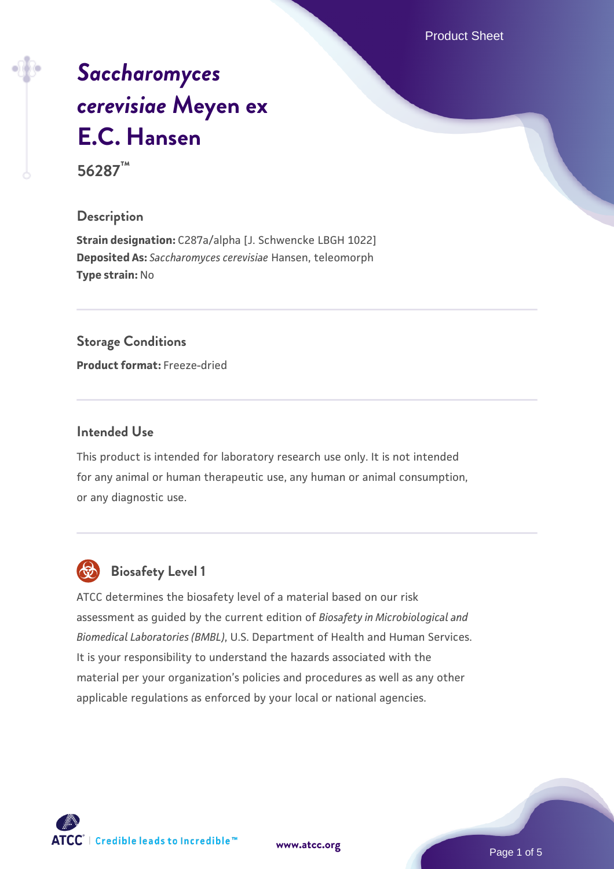Product Sheet

# *[Saccharomyces](https://www.atcc.org/products/56287) [cerevisiae](https://www.atcc.org/products/56287)* **[Meyen ex](https://www.atcc.org/products/56287) [E.C. Hansen](https://www.atcc.org/products/56287)**

**56287™**

### **Description**

**Strain designation:** C287a/alpha [J. Schwencke LBGH 1022] **Deposited As:** *Saccharomyces cerevisiae* Hansen, teleomorph **Type strain:** No

### **Storage Conditions**

**Product format:** Freeze-dried

### **Intended Use**

This product is intended for laboratory research use only. It is not intended for any animal or human therapeutic use, any human or animal consumption, or any diagnostic use.



# **Biosafety Level 1**

ATCC determines the biosafety level of a material based on our risk assessment as guided by the current edition of *Biosafety in Microbiological and Biomedical Laboratories (BMBL)*, U.S. Department of Health and Human Services. It is your responsibility to understand the hazards associated with the material per your organization's policies and procedures as well as any other applicable regulations as enforced by your local or national agencies.

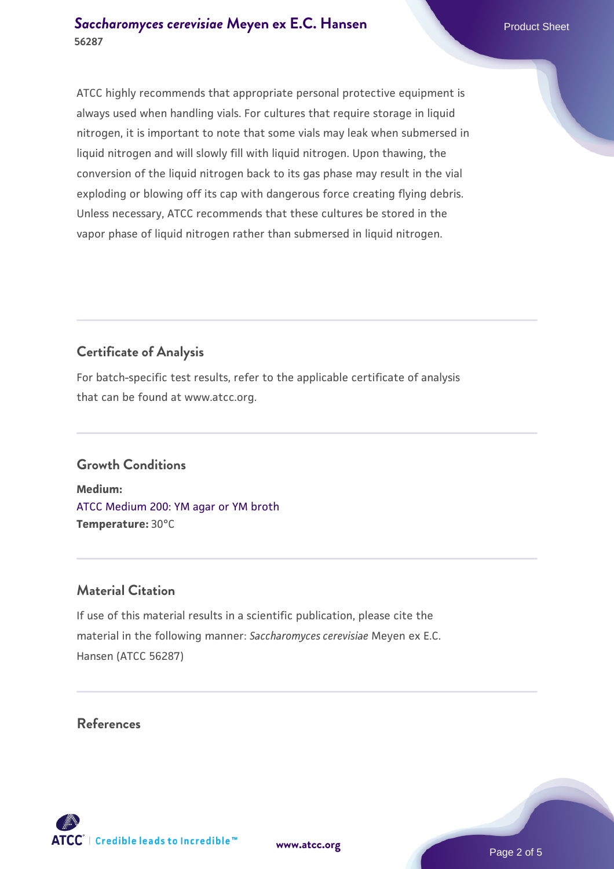ATCC highly recommends that appropriate personal protective equipment is always used when handling vials. For cultures that require storage in liquid nitrogen, it is important to note that some vials may leak when submersed in liquid nitrogen and will slowly fill with liquid nitrogen. Upon thawing, the conversion of the liquid nitrogen back to its gas phase may result in the vial exploding or blowing off its cap with dangerous force creating flying debris. Unless necessary, ATCC recommends that these cultures be stored in the vapor phase of liquid nitrogen rather than submersed in liquid nitrogen.

# **Certificate of Analysis**

For batch-specific test results, refer to the applicable certificate of analysis that can be found at www.atcc.org.

# **Growth Conditions**

**Medium:**  [ATCC Medium 200: YM agar or YM broth](https://www.atcc.org/-/media/product-assets/documents/microbial-media-formulations/2/0/0/atcc-medium-200.pdf?rev=ac40fd74dc13433a809367b0b9da30fc) **Temperature:** 30°C

# **Material Citation**

If use of this material results in a scientific publication, please cite the material in the following manner: *Saccharomyces cerevisiae* Meyen ex E.C. Hansen (ATCC 56287)

# **References**

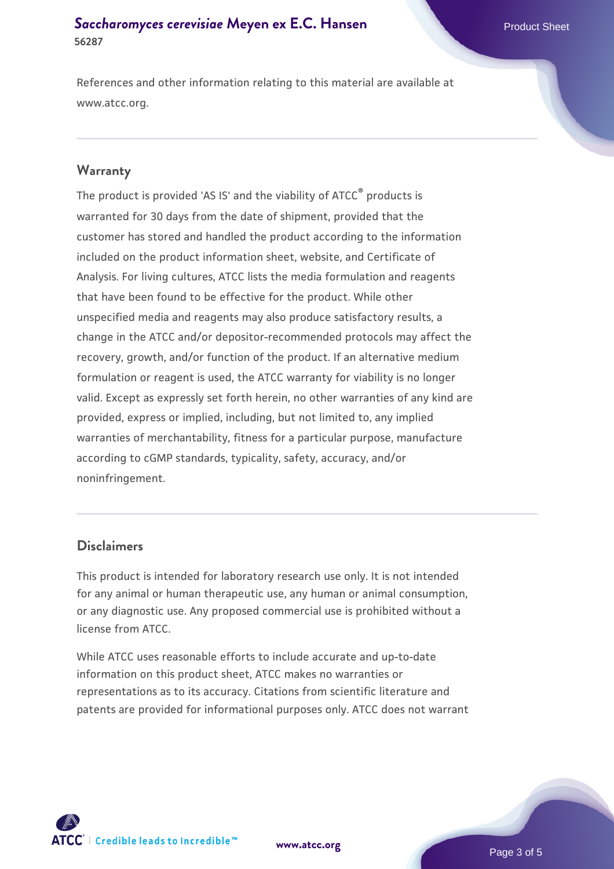# **[Saccharomyces cerevisiae](https://www.atcc.org/products/56287)** [Meyen ex E.C. Hansen](https://www.atcc.org/products/56287) **56287**

References and other information relating to this material are available at www.atcc.org.

### **Warranty**

The product is provided 'AS IS' and the viability of ATCC® products is warranted for 30 days from the date of shipment, provided that the customer has stored and handled the product according to the information included on the product information sheet, website, and Certificate of Analysis. For living cultures, ATCC lists the media formulation and reagents that have been found to be effective for the product. While other unspecified media and reagents may also produce satisfactory results, a change in the ATCC and/or depositor-recommended protocols may affect the recovery, growth, and/or function of the product. If an alternative medium formulation or reagent is used, the ATCC warranty for viability is no longer valid. Except as expressly set forth herein, no other warranties of any kind are provided, express or implied, including, but not limited to, any implied warranties of merchantability, fitness for a particular purpose, manufacture according to cGMP standards, typicality, safety, accuracy, and/or noninfringement.

### **Disclaimers**

This product is intended for laboratory research use only. It is not intended for any animal or human therapeutic use, any human or animal consumption, or any diagnostic use. Any proposed commercial use is prohibited without a license from ATCC.

While ATCC uses reasonable efforts to include accurate and up-to-date information on this product sheet, ATCC makes no warranties or representations as to its accuracy. Citations from scientific literature and patents are provided for informational purposes only. ATCC does not warrant



**[www.atcc.org](http://www.atcc.org)**

Page 3 of 5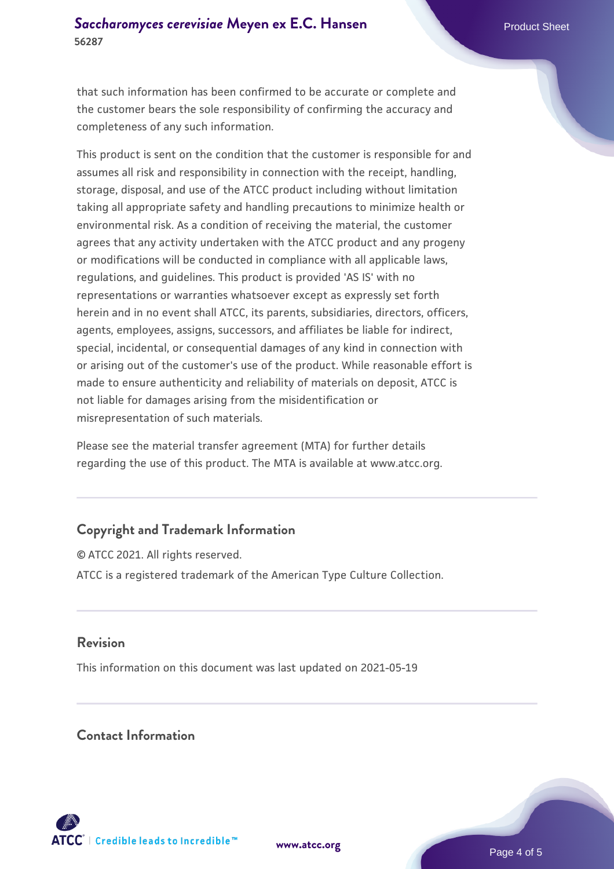that such information has been confirmed to be accurate or complete and the customer bears the sole responsibility of confirming the accuracy and completeness of any such information.

This product is sent on the condition that the customer is responsible for and assumes all risk and responsibility in connection with the receipt, handling, storage, disposal, and use of the ATCC product including without limitation taking all appropriate safety and handling precautions to minimize health or environmental risk. As a condition of receiving the material, the customer agrees that any activity undertaken with the ATCC product and any progeny or modifications will be conducted in compliance with all applicable laws, regulations, and guidelines. This product is provided 'AS IS' with no representations or warranties whatsoever except as expressly set forth herein and in no event shall ATCC, its parents, subsidiaries, directors, officers, agents, employees, assigns, successors, and affiliates be liable for indirect, special, incidental, or consequential damages of any kind in connection with or arising out of the customer's use of the product. While reasonable effort is made to ensure authenticity and reliability of materials on deposit, ATCC is not liable for damages arising from the misidentification or misrepresentation of such materials.

Please see the material transfer agreement (MTA) for further details regarding the use of this product. The MTA is available at www.atcc.org.

# **Copyright and Trademark Information**

© ATCC 2021. All rights reserved. ATCC is a registered trademark of the American Type Culture Collection.

# **Revision**

This information on this document was last updated on 2021-05-19

# **Contact Information**



**[www.atcc.org](http://www.atcc.org)**